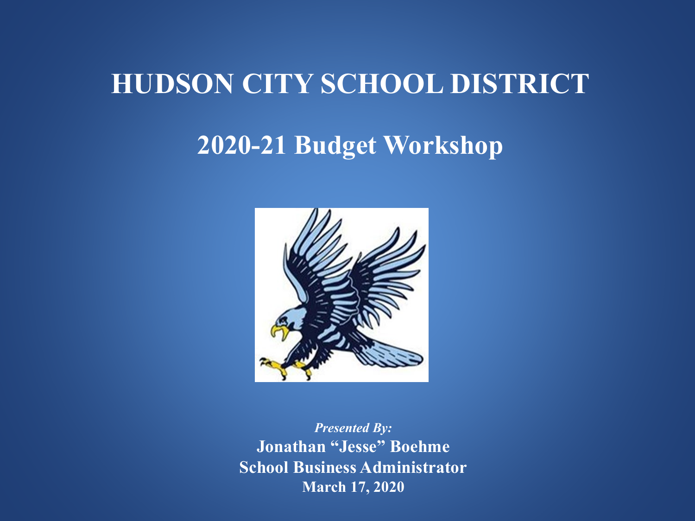### **HUDSON CITY SCHOOL DISTRICT**

### **2020-21 Budget Workshop**



*Presented By:* **Jonathan "Jesse" Boehme School Business Administrator March 17, 2020**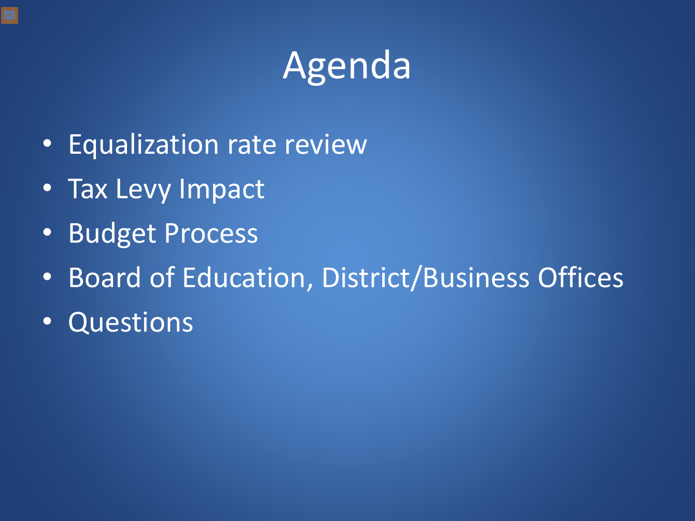# Agenda

- Equalization rate review
- Tax Levy Impact
- Budget Process
- Board of Education, District/Business Offices
- Questions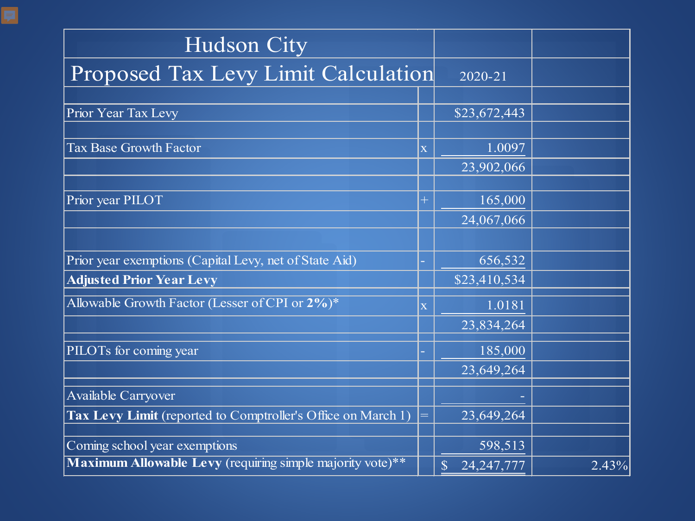| <b>Hudson City</b>                                           |                         |                              |       |
|--------------------------------------------------------------|-------------------------|------------------------------|-------|
| Proposed Tax Levy Limit Calculation                          | 2020-21                 |                              |       |
|                                                              |                         |                              |       |
| Prior Year Tax Levy                                          |                         | \$23,672,443                 |       |
|                                                              |                         |                              |       |
| <b>Tax Base Growth Factor</b>                                | $\overline{\mathbf{X}}$ | 1.0097                       |       |
|                                                              |                         | 23,902,066                   |       |
|                                                              |                         |                              |       |
| Prior year PILOT                                             | $\ddag$                 | 165,000                      |       |
|                                                              |                         | 24,067,066                   |       |
|                                                              |                         |                              |       |
| Prior year exemptions (Capital Levy, net of State Aid)       |                         | 656,532                      |       |
| <b>Adjusted Prior Year Levy</b>                              |                         | \$23,410,534                 |       |
| Allowable Growth Factor (Lesser of CPI or $2\%$ )*           | $\overline{\mathbf{X}}$ | 1.0181                       |       |
|                                                              |                         | 23,834,264                   |       |
| PILOTs for coming year                                       |                         | 185,000                      |       |
|                                                              |                         | 23,649,264                   |       |
| Available Carryover                                          |                         |                              |       |
| Tax Levy Limit (reported to Comptroller's Office on March 1) | =                       | 23,649,264                   |       |
| Coming school year exemptions                                |                         | 598,513                      |       |
| Maximum Allowable Levy (requiring simple majority vote)**    |                         | $\mathbb{S}$<br>24, 247, 777 | 2.43% |

見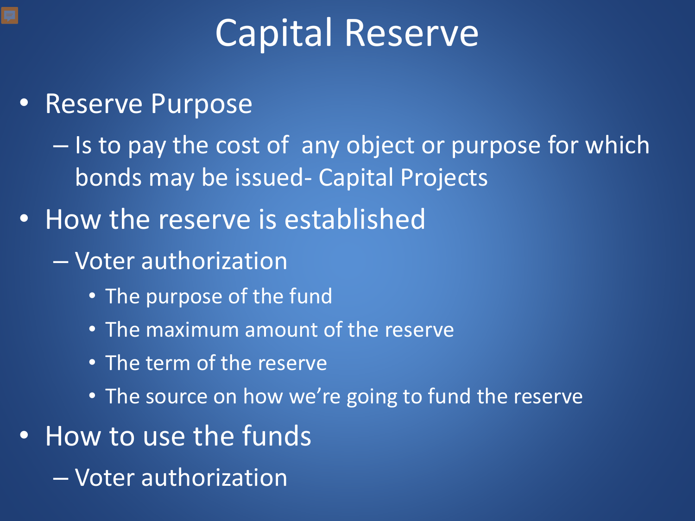# Capital Reserve

• Reserve Purpose

– Is to pay the cost of any object or purpose for which bonds may be issued- Capital Projects

- How the reserve is established
	- Voter authorization
		- The purpose of the fund
		- The maximum amount of the reserve
		- The term of the reserve
		- The source on how we're going to fund the reserve
- How to use the funds
	- Voter authorization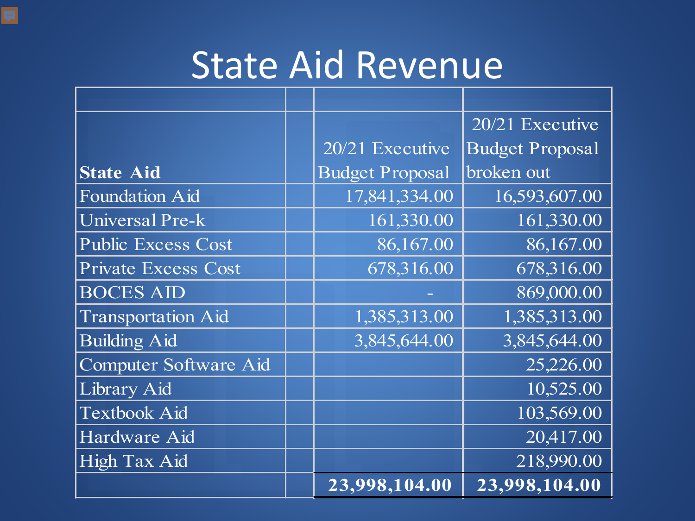### State Aid Revenue

|                            |                        | 20/21 Executive        |
|----------------------------|------------------------|------------------------|
|                            | 20/21 Executive        | <b>Budget Proposal</b> |
| <b>State Aid</b>           | <b>Budget Proposal</b> | broken out             |
| <b>Foundation Aid</b>      | 17,841,334.00          | 16,593,607.00          |
| Universal Pre-k            | 161,330.00             | 161,330.00             |
| <b>Public Excess Cost</b>  | 86,167.00              | 86,167.00              |
| <b>Private Excess Cost</b> | 678,316.00             | 678,316.00             |
| <b>BOCES AID</b>           |                        | 869,000.00             |
| <b>Transportation Aid</b>  | 1,385,313.00           | 1,385,313.00           |
| <b>Building Aid</b>        | 3,845,644.00           | 3,845,644.00           |
| Computer Software Aid      |                        | 25,226.00              |
| Library Aid                |                        | 10,525.00              |
| <b>Textbook Aid</b>        |                        | 103,569.00             |
| Hardware Aid               |                        | 20,417.00              |
| <b>High Tax Aid</b>        |                        | 218,990.00             |
|                            | 23,998,104.00          | 23,998,104.00          |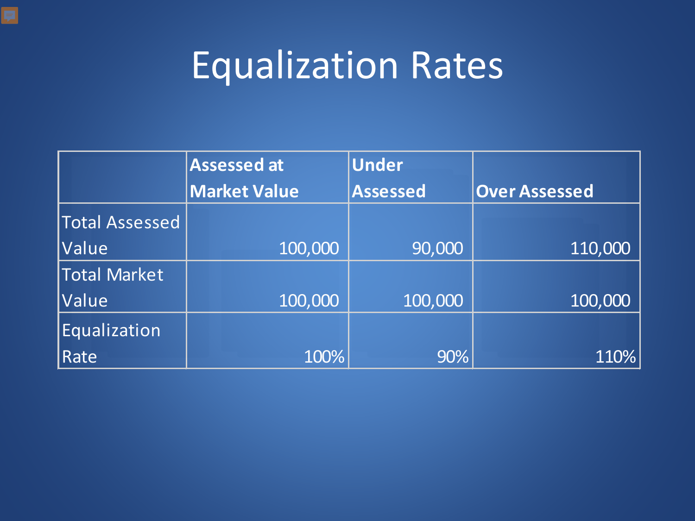# Equalization Rates

|                       | <b>Assessed at</b>                     | <b>Under</b> |                      |  |
|-----------------------|----------------------------------------|--------------|----------------------|--|
|                       | <b>Market Value</b><br><b>Assessed</b> |              | <b>Over Assessed</b> |  |
| <b>Total Assessed</b> |                                        |              |                      |  |
| Value                 | 100,000                                | 90,000       | 110,000              |  |
| Total Market          |                                        |              |                      |  |
| Value                 | 100,000                                | 100,000      | 100,000              |  |
| Equalization          |                                        |              |                      |  |
| Rate                  | 100%                                   | 90%          | 110%                 |  |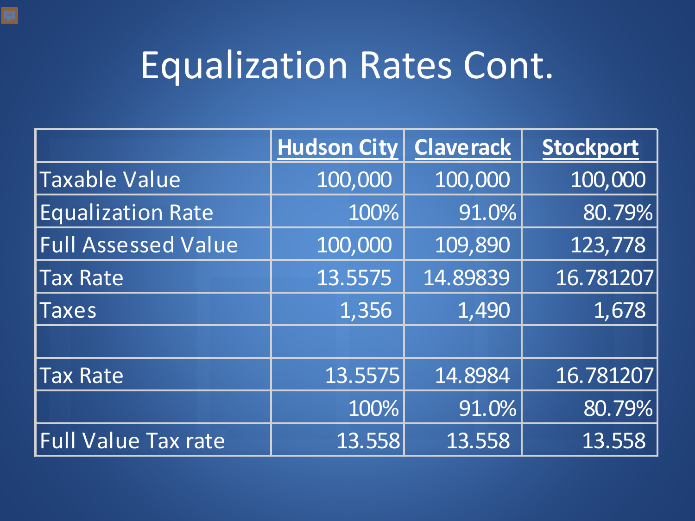# Equalization Rates Cont.

|                            | <b>Hudson City   Claverack</b> |          | Stockport |
|----------------------------|--------------------------------|----------|-----------|
| <b>Taxable Value</b>       | 100,000                        | 100,000  | 100,000   |
| <b>Equalization Rate</b>   | 100%                           | 91.0%    | 80.79%    |
| <b>Full Assessed Value</b> | 100,000                        | 109,890  | 123,778   |
| <b>Tax Rate</b>            | 13.5575                        | 14.89839 | 16.781207 |
| <b>Taxes</b>               | 1,356                          | 1,490    | 1,678     |
|                            |                                |          |           |
| <b>Tax Rate</b>            | 13.5575                        | 14.8984  | 16.781207 |
|                            | 100%                           | 91.0%    | 80.79%    |
| <b>Full Value Tax rate</b> | 13.558                         | 13.558   | 13.558    |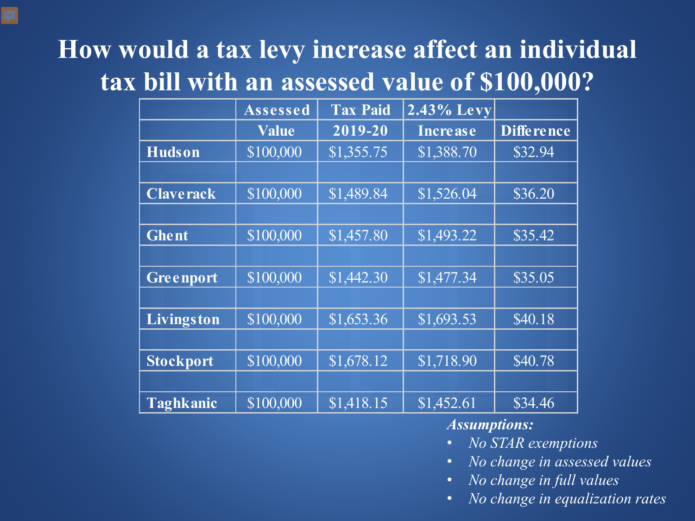### **How would a tax levy increase affect an individual tax bill with an assessed value of \$100,000?**

|                  | Assessed     | <b>Tax Paid</b>        | 2.43% Levy      |                   |
|------------------|--------------|------------------------|-----------------|-------------------|
|                  | <b>Value</b> | 2019-20                | <b>Increase</b> | <b>Difference</b> |
| <b>Hudson</b>    | \$100,000    | \$1,355.75             | \$1,388.70      | \$32.94           |
|                  |              |                        |                 |                   |
| <b>Claverack</b> | \$100,000    | \$1,489.84             | \$1,526.04      | \$36.20           |
|                  |              |                        |                 |                   |
| <b>Ghent</b>     | \$100,000    | $\overline{$}1,457.80$ | \$1,493.22      | \$35.42           |
|                  |              |                        |                 |                   |
| Greenport        | \$100,000    | \$1,442.30             | \$1,477.34      | \$35.05           |
|                  |              |                        |                 |                   |
| Livingston       | \$100,000    | \$1,653.36             | \$1,693.53      | \$40.18           |
|                  |              |                        |                 |                   |
| <b>Stockport</b> | \$100,000    | \$1,678.12             | \$1,718.90      | \$40.78           |
|                  |              |                        |                 |                   |
| <b>Taghkanic</b> | \$100,000    | $\overline{$}1,418.15$ | \$1,452.61      | \$34.46           |

#### *Assumptions:*

- *No STAR exemptions*
- *No change in assessed values*
- *No change in full values*
- *No change in equalization rates*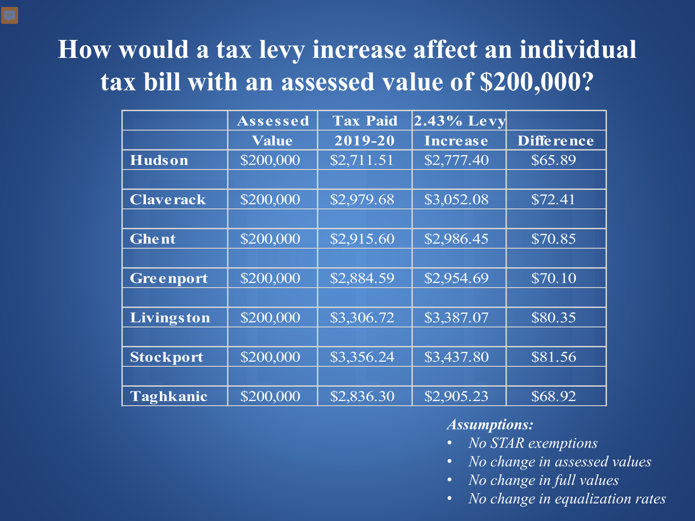### **How would a tax levy increase affect an individual tax bill with an assessed value of \$200,000?**

|                  | Assessed           | <b>Tax Paid</b> | 2.43% Levy      |                   |
|------------------|--------------------|-----------------|-----------------|-------------------|
|                  | <b>Value</b>       | 2019-20         | <b>Increase</b> | <b>Difference</b> |
| <b>Hudson</b>    | $\sqrt{\$200,000}$ | \$2,711.51      | \$2,777.40      | \$65.89           |
|                  |                    |                 |                 |                   |
| <b>Claverack</b> | \$200,000          | \$2,979.68      | \$3,052.08      | \$72.41           |
|                  |                    |                 |                 |                   |
| <b>Ghent</b>     | \$200,000          | \$2,915.60      | \$2,986.45      | \$70.85           |
|                  |                    |                 |                 |                   |
| Greenport        | \$200,000          | \$2,884.59      | \$2,954.69      | \$70.10           |
|                  |                    |                 |                 |                   |
| Livingston       | \$200,000          | \$3,306.72      | \$3,387.07      | \$80.35           |
|                  |                    |                 |                 |                   |
| <b>Stockport</b> | \$200,000          | \$3,356.24      | \$3,437.80      | \$81.56           |
|                  |                    |                 |                 |                   |
| <b>Taghkanic</b> | \$200,000          | \$2,836.30      | \$2,905.23      | \$68.92           |

#### *Assumptions:*

- *No STAR exemptions*
- *No change in assessed values*
- *No change in full values*
- *No change in equalization rates*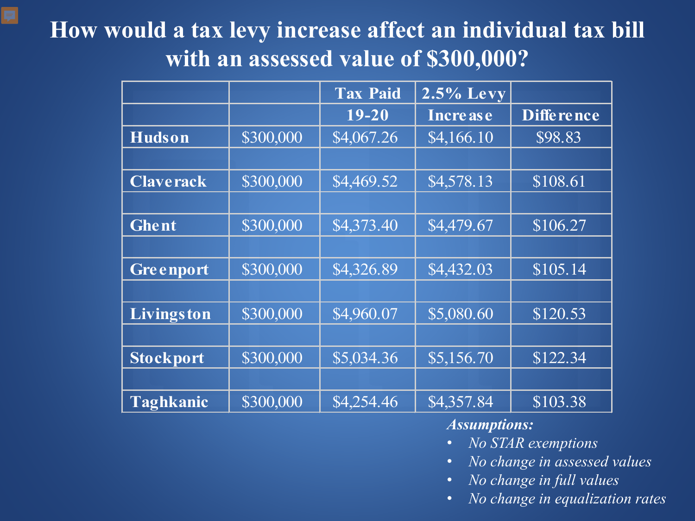#### **How would a tax levy increase affect an individual tax bill with an assessed value of \$300,000?**

F

|                  |           | <b>Tax Paid</b> | $2.5\%$ Levy    |                   |
|------------------|-----------|-----------------|-----------------|-------------------|
|                  |           | $19 - 20$       | <b>Increase</b> | <b>Difference</b> |
| <b>Hudson</b>    | \$300,000 | \$4,067.26      | \$4,166.10      | \$98.83           |
|                  |           |                 |                 |                   |
| <b>Claverack</b> | \$300,000 | \$4,469.52      | \$4,578.13      | \$108.61          |
|                  |           |                 |                 |                   |
| <b>Ghent</b>     | \$300,000 | \$4,373.40      | \$4,479.67      | \$106.27          |
|                  |           |                 |                 |                   |
| Greenport        | \$300,000 | \$4,326.89      | \$4,432.03      | \$105.14          |
|                  |           |                 |                 |                   |
| Livingston       | \$300,000 | \$4,960.07      | \$5,080.60      | \$120.53          |
|                  |           |                 |                 |                   |
| <b>Stockport</b> | \$300,000 | \$5,034.36      | \$5,156.70      | \$122.34          |
|                  |           |                 |                 |                   |
| <b>Taghkanic</b> | \$300,000 | \$4,254.46      | \$4,357.84      | \$103.38          |

#### *Assumptions:*

- *No STAR exemptions*
- *No change in assessed values*
- *No change in full values*
- *No change in equalization rates*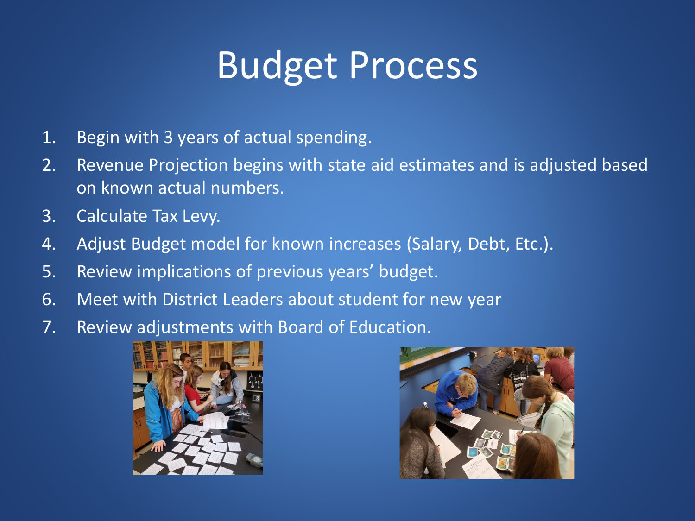# Budget Process

- 1. Begin with 3 years of actual spending.
- 2. Revenue Projection begins with state aid estimates and is adjusted based on known actual numbers.
- 3. Calculate Tax Levy.
- 4. Adjust Budget model for known increases (Salary, Debt, Etc.).
- 5. Review implications of previous years' budget.
- 6. Meet with District Leaders about student for new year
- 7. Review adjustments with Board of Education.



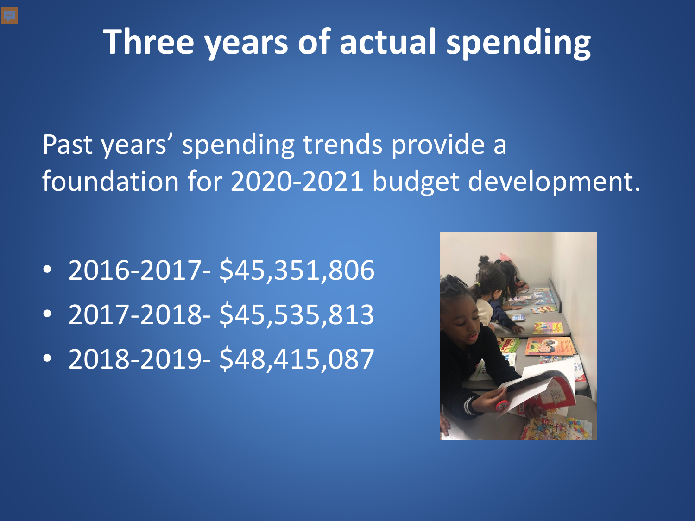### **Three years of actual spending**

Past years' spending trends provide a foundation for 2020-2021 budget development.

- 2016-2017- \$45,351,806
- 2017-2018- \$45,535,813
- 2018-2019- \$48,415,087

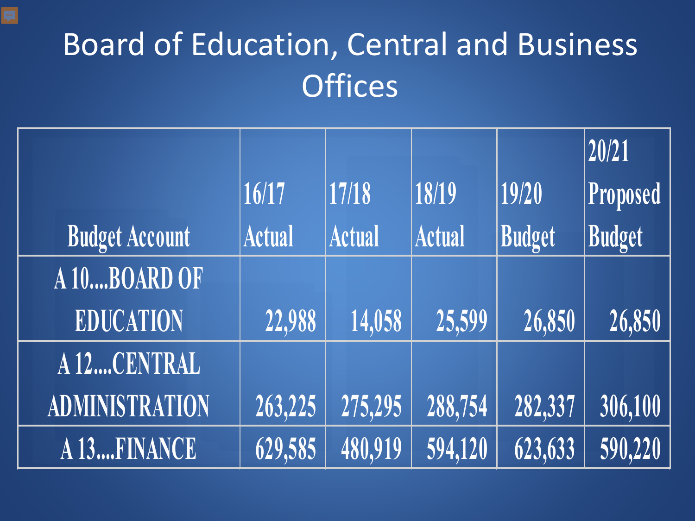### Board of Education, Central and Business **Offices**

|                       |               |               |               |         | 20/21    |
|-----------------------|---------------|---------------|---------------|---------|----------|
|                       | 16/17         | 17/18         | 18/19         | 19/20   | Proposed |
| <b>Budget Account</b> | <b>Actual</b> | <b>Actual</b> | <b>Actual</b> | Budget  | Budget   |
| A 10BOARD OF          |               |               |               |         |          |
| <b>EDUCATION</b>      | 22,988        | 14,058        | 25,599        | 26,850  | 26,850   |
| A 12CENTRAL           |               |               |               |         |          |
| <b>ADMINISTRATION</b> | 263,225       | 275,295       | 288,754       | 282,337 | 306,100  |
| A 13FINANCE           | 629,585       | 480,919       | 594,120       | 623,633 | 590,220  |